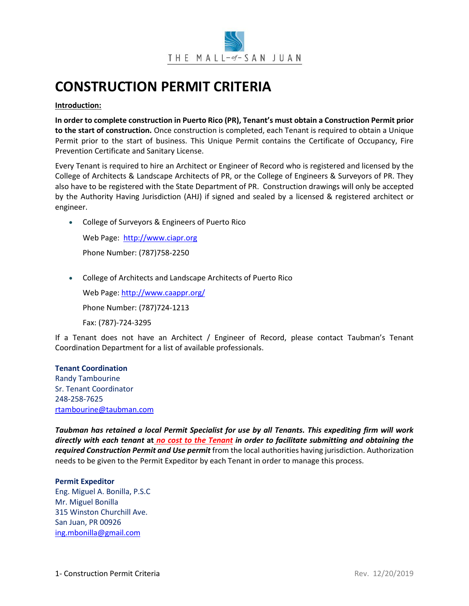

# **CONSTRUCTION PERMIT CRITERIA**

## **Introduction:**

**In order to complete construction in Puerto Rico (PR), Tenant's must obtain a Construction Permit prior to the start of construction.** Once construction is completed, each Tenant is required to obtain a Unique Permit prior to the start of business. This Unique Permit contains the Certificate of Occupancy, Fire Prevention Certificate and Sanitary License.

Every Tenant is required to hire an Architect or Engineer of Record who is registered and licensed by the College of Architects & Landscape Architects of PR, or the College of Engineers & Surveyors of PR. They also have to be registered with the State Department of PR. Construction drawings will only be accepted by the Authority Having Jurisdiction (AHJ) if signed and sealed by a licensed & registered architect or engineer.

• College of Surveyors & Engineers of Puerto Rico

Web Page: [http://www.ciapr.org](http://www.ciapr.org/) Phone Number: (787)758-2250

• College of Architects and Landscape Architects of Puerto Rico

Web Page[: http://www.caappr.org/](http://www.caappr.org/) Phone Number: (787)724-1213 Fax: (787)-724-3295

If a Tenant does not have an Architect / Engineer of Record, please contact Taubman's Tenant Coordination Department for a list of available professionals.

### **Tenant Coordination**

Randy Tambourine Sr. Tenant Coordinator 248-258-7625 [rtambourine@taubman.com](mailto:rtambourine@taubman.com)

*Taubman has retained a local Permit Specialist for use by all Tenants. This expediting firm will work directly with each tenant* **at** *no cost to the Tenant in order to facilitate submitting and obtaining the required Construction Permit and Use permit* from the local authorities having jurisdiction. Authorization needs to be given to the Permit Expeditor by each Tenant in order to manage this process.

# **Permit Expeditor** Eng. Miguel A. Bonilla, P.S.C Mr. Miguel Bonilla 315 Winston Churchill Ave. San Juan, PR 00926 [ing.mbonilla@gmail.com](mailto:ing.mbonilla@gmail.com)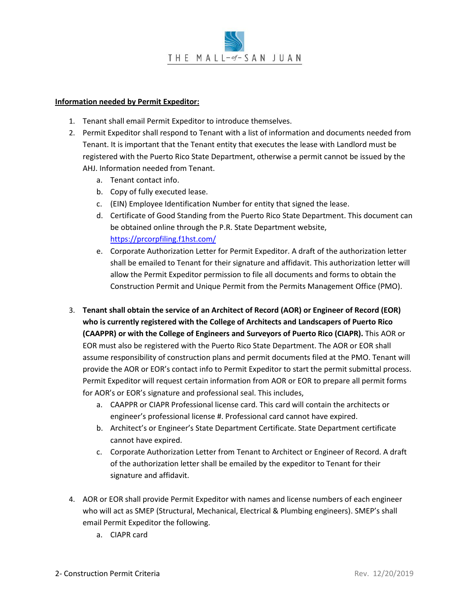## **Information needed by Permit Expeditor:**

- 1. Tenant shall email Permit Expeditor to introduce themselves.
- 2. Permit Expeditor shall respond to Tenant with a list of information and documents needed from Tenant. It is important that the Tenant entity that executes the lease with Landlord must be registered with the Puerto Rico State Department, otherwise a permit cannot be issued by the AHJ. Information needed from Tenant.
	- a. Tenant contact info.
	- b. Copy of fully executed lease.
	- c. (EIN) Employee Identification Number for entity that signed the lease.
	- d. Certificate of Good Standing from the Puerto Rico State Department. This document can be obtained online through the P.R. State Department website, <https://prcorpfiling.f1hst.com/>
	- e. Corporate Authorization Letter for Permit Expeditor. A draft of the authorization letter shall be emailed to Tenant for their signature and affidavit. This authorization letter will allow the Permit Expeditor permission to file all documents and forms to obtain the Construction Permit and Unique Permit from the Permits Management Office (PMO).
- 3. **Tenant shall obtain the service of an Architect of Record (AOR) or Engineer of Record (EOR) who is currently registered with the College of Architects and Landscapers of Puerto Rico (CAAPPR) or with the College of Engineers and Surveyors of Puerto Rico (CIAPR).** This AOR or EOR must also be registered with the Puerto Rico State Department. The AOR or EOR shall assume responsibility of construction plans and permit documents filed at the PMO. Tenant will provide the AOR or EOR's contact info to Permit Expeditor to start the permit submittal process. Permit Expeditor will request certain information from AOR or EOR to prepare all permit forms for AOR's or EOR's signature and professional seal. This includes,
	- a. CAAPPR or CIAPR Professional license card. This card will contain the architects or engineer's professional license #. Professional card cannot have expired.
	- b. Architect's or Engineer's State Department Certificate. State Department certificate cannot have expired.
	- c. Corporate Authorization Letter from Tenant to Architect or Engineer of Record. A draft of the authorization letter shall be emailed by the expeditor to Tenant for their signature and affidavit.
- 4. AOR or EOR shall provide Permit Expeditor with names and license numbers of each engineer who will act as SMEP (Structural, Mechanical, Electrical & Plumbing engineers). SMEP's shall email Permit Expeditor the following.
	- a. CIAPR card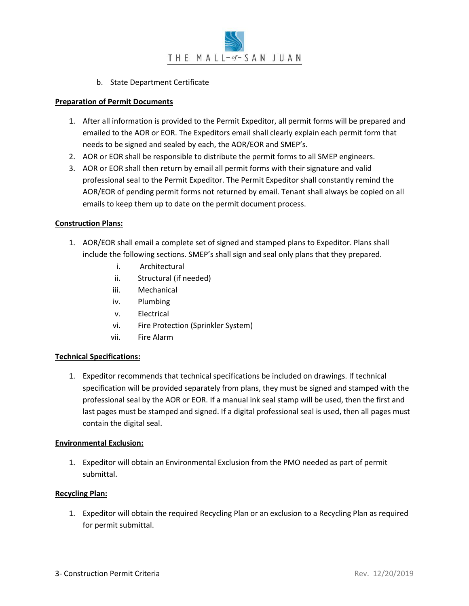# b. State Department Certificate

## **Preparation of Permit Documents**

- 1. After all information is provided to the Permit Expeditor, all permit forms will be prepared and emailed to the AOR or EOR. The Expeditors email shall clearly explain each permit form that needs to be signed and sealed by each, the AOR/EOR and SMEP's.
- 2. AOR or EOR shall be responsible to distribute the permit forms to all SMEP engineers.
- 3. AOR or EOR shall then return by email all permit forms with their signature and valid professional seal to the Permit Expeditor. The Permit Expeditor shall constantly remind the AOR/EOR of pending permit forms not returned by email. Tenant shall always be copied on all emails to keep them up to date on the permit document process.

## **Construction Plans:**

- 1. AOR/EOR shall email a complete set of signed and stamped plans to Expeditor. Plans shall include the following sections. SMEP's shall sign and seal only plans that they prepared.
	- i. Architectural
	- ii. Structural (if needed)
	- iii. Mechanical
	- iv. Plumbing
	- v. Electrical
	- vi. Fire Protection (Sprinkler System)
	- vii. Fire Alarm

# **Technical Specifications:**

1. Expeditor recommends that technical specifications be included on drawings. If technical specification will be provided separately from plans, they must be signed and stamped with the professional seal by the AOR or EOR. If a manual ink seal stamp will be used, then the first and last pages must be stamped and signed. If a digital professional seal is used, then all pages must contain the digital seal.

### **Environmental Exclusion:**

1. Expeditor will obtain an Environmental Exclusion from the PMO needed as part of permit submittal.

## **Recycling Plan:**

1. Expeditor will obtain the required Recycling Plan or an exclusion to a Recycling Plan as required for permit submittal.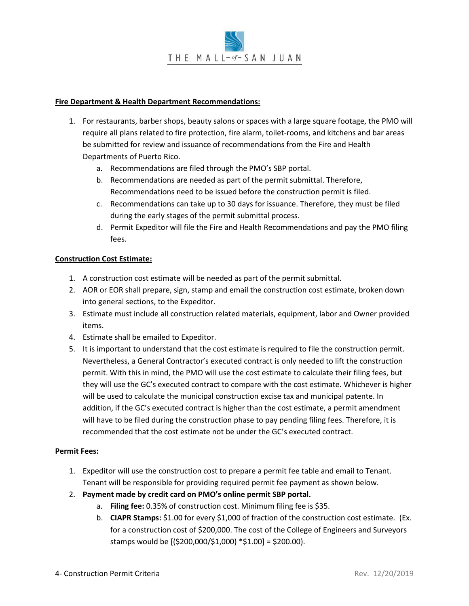## **Fire Department & Health Department Recommendations:**

- 1. For restaurants, barber shops, beauty salons or spaces with a large square footage, the PMO will require all plans related to fire protection, fire alarm, toilet-rooms, and kitchens and bar areas be submitted for review and issuance of recommendations from the Fire and Health Departments of Puerto Rico.
	- a. Recommendations are filed through the PMO's SBP portal.
	- b. Recommendations are needed as part of the permit submittal. Therefore, Recommendations need to be issued before the construction permit is filed.
	- c. Recommendations can take up to 30 days for issuance. Therefore, they must be filed during the early stages of the permit submittal process.
	- d. Permit Expeditor will file the Fire and Health Recommendations and pay the PMO filing fees.

## **Construction Cost Estimate:**

- 1. A construction cost estimate will be needed as part of the permit submittal.
- 2. AOR or EOR shall prepare, sign, stamp and email the construction cost estimate, broken down into general sections, to the Expeditor.
- 3. Estimate must include all construction related materials, equipment, labor and Owner provided items.
- 4. Estimate shall be emailed to Expeditor.
- 5. It is important to understand that the cost estimate is required to file the construction permit. Nevertheless, a General Contractor's executed contract is only needed to lift the construction permit. With this in mind, the PMO will use the cost estimate to calculate their filing fees, but they will use the GC's executed contract to compare with the cost estimate. Whichever is higher will be used to calculate the municipal construction excise tax and municipal patente. In addition, if the GC's executed contract is higher than the cost estimate, a permit amendment will have to be filed during the construction phase to pay pending filing fees. Therefore, it is recommended that the cost estimate not be under the GC's executed contract.

### **Permit Fees:**

- 1. Expeditor will use the construction cost to prepare a permit fee table and email to Tenant. Tenant will be responsible for providing required permit fee payment as shown below.
- 2. **Payment made by credit card on PMO's online permit SBP portal.**
	- a. **Filing fee:** 0.35% of construction cost. Minimum filing fee is \$35.
	- b. **CIAPR Stamps:** \$1.00 for every \$1,000 of fraction of the construction cost estimate. (Ex. for a construction cost of \$200,000. The cost of the College of Engineers and Surveyors stamps would be [(\$200,000/\$1,000) \*\$1.00] = \$200.00).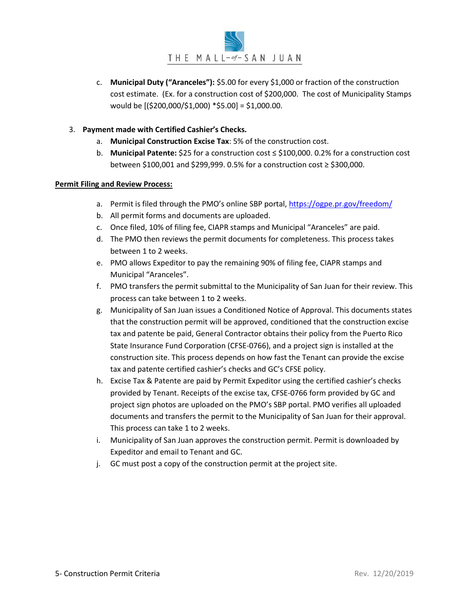- c. **Municipal Duty ("Aranceles"):** \$5.00 for every \$1,000 or fraction of the construction cost estimate. (Ex. for a construction cost of \$200,000. The cost of Municipality Stamps would be [(\$200,000/\$1,000) \*\$5.00] = \$1,000.00.
- 3. **Payment made with Certified Cashier's Checks.**
	- a. **Municipal Construction Excise Tax**: 5% of the construction cost.
	- b. **Municipal Patente:** \$25 for a construction cost ≤ \$100,000. 0.2% for a construction cost between \$100,001 and \$299,999. 0.5% for a construction cost ≥ \$300,000.

# **Permit Filing and Review Process:**

- a. Permit is filed through the PMO's online SBP portal, https://ogpe.pr.gov/freedom/
- b. All permit forms and documents are uploaded.
- c. Once filed, 10% of filing fee, CIAPR stamps and Municipal "Aranceles" are paid.
- d. The PMO then reviews the permit documents for completeness. This process takes between 1 to 2 weeks.
- e. PMO allows Expeditor to pay the remaining 90% of filing fee, CIAPR stamps and Municipal "Aranceles".
- f. PMO transfers the permit submittal to the Municipality of San Juan for their review. This process can take between 1 to 2 weeks.
- g. Municipality of San Juan issues a Conditioned Notice of Approval. This documents states that the construction permit will be approved, conditioned that the construction excise tax and patente be paid, General Contractor obtains their policy from the Puerto Rico State Insurance Fund Corporation (CFSE-0766), and a project sign is installed at the construction site. This process depends on how fast the Tenant can provide the excise tax and patente certified cashier's checks and GC's CFSE policy.
- h. Excise Tax & Patente are paid by Permit Expeditor using the certified cashier's checks provided by Tenant. Receipts of the excise tax, CFSE-0766 form provided by GC and project sign photos are uploaded on the PMO's SBP portal. PMO verifies all uploaded documents and transfers the permit to the Municipality of San Juan for their approval. This process can take 1 to 2 weeks.
- i. Municipality of San Juan approves the construction permit. Permit is downloaded by Expeditor and email to Tenant and GC.
- j. GC must post a copy of the construction permit at the project site.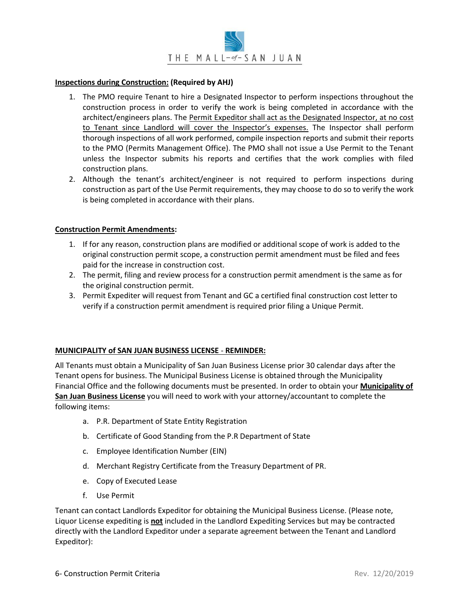## **Inspections during Construction: (Required by AHJ)**

- 1. The PMO require Tenant to hire a Designated Inspector to perform inspections throughout the construction process in order to verify the work is being completed in accordance with the architect/engineers plans. The Permit Expeditor shall act as the Designated Inspector, at no cost to Tenant since Landlord will cover the Inspector's expenses. The Inspector shall perform thorough inspections of all work performed, compile inspection reports and submit their reports to the PMO (Permits Management Office). The PMO shall not issue a Use Permit to the Tenant unless the Inspector submits his reports and certifies that the work complies with filed construction plans.
- 2. Although the tenant's architect/engineer is not required to perform inspections during construction as part of the Use Permit requirements, they may choose to do so to verify the work is being completed in accordance with their plans.

## **Construction Permit Amendments:**

- 1. If for any reason, construction plans are modified or additional scope of work is added to the original construction permit scope, a construction permit amendment must be filed and fees paid for the increase in construction cost.
- 2. The permit, filing and review process for a construction permit amendment is the same as for the original construction permit.
- 3. Permit Expediter will request from Tenant and GC a certified final construction cost letter to verify if a construction permit amendment is required prior filing a Unique Permit.

# **MUNICIPALITY of SAN JUAN BUSINESS LICENSE** - **REMINDER:**

All Tenants must obtain a Municipality of San Juan Business License prior 30 calendar days after the Tenant opens for business. The Municipal Business License is obtained through the Municipality Financial Office and the following documents must be presented. In order to obtain your **Municipality of San Juan Business License** you will need to work with your attorney/accountant to complete the following items:

- a. P.R. Department of State Entity Registration
- b. Certificate of Good Standing from the P.R Department of State
- c. Employee Identification Number (EIN)
- d. Merchant Registry Certificate from the Treasury Department of PR.
- e. Copy of Executed Lease
- f. Use Permit

Tenant can contact Landlords Expeditor for obtaining the Municipal Business License. (Please note, Liquor License expediting is **not** included in the Landlord Expediting Services but may be contracted directly with the Landlord Expeditor under a separate agreement between the Tenant and Landlord Expeditor):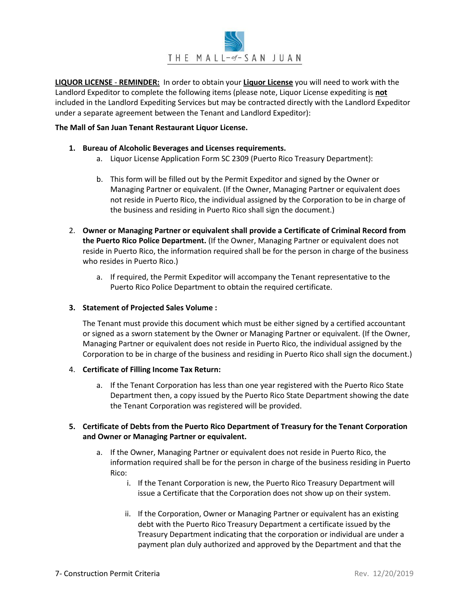

**LIQUOR LICENSE** - **REMINDER:** In order to obtain your **Liquor License** you will need to work with the Landlord Expeditor to complete the following items (please note, Liquor License expediting is **not** included in the Landlord Expediting Services but may be contracted directly with the Landlord Expeditor under a separate agreement between the Tenant and Landlord Expeditor):

#### **The Mall of San Juan Tenant Restaurant Liquor License.**

#### **1. Bureau of Alcoholic Beverages and Licenses requirements.**

- a. Liquor License Application Form SC 2309 (Puerto Rico Treasury Department):
- b. This form will be filled out by the Permit Expeditor and signed by the Owner or Managing Partner or equivalent. (If the Owner, Managing Partner or equivalent does not reside in Puerto Rico, the individual assigned by the Corporation to be in charge of the business and residing in Puerto Rico shall sign the document.)
- 2. **Owner or Managing Partner or equivalent shall provide a Certificate of Criminal Record from the Puerto Rico Police Department.** (If the Owner, Managing Partner or equivalent does not reside in Puerto Rico, the information required shall be for the person in charge of the business who resides in Puerto Rico.)
	- a. If required, the Permit Expeditor will accompany the Tenant representative to the Puerto Rico Police Department to obtain the required certificate.

### **3. Statement of Projected Sales Volume :**

The Tenant must provide this document which must be either signed by a certified accountant or signed as a sworn statement by the Owner or Managing Partner or equivalent. (If the Owner, Managing Partner or equivalent does not reside in Puerto Rico, the individual assigned by the Corporation to be in charge of the business and residing in Puerto Rico shall sign the document.)

### 4. **Certificate of Filling Income Tax Return:**

a. If the Tenant Corporation has less than one year registered with the Puerto Rico State Department then, a copy issued by the Puerto Rico State Department showing the date the Tenant Corporation was registered will be provided.

# **5. Certificate of Debts from the Puerto Rico Department of Treasury for the Tenant Corporation and Owner or Managing Partner or equivalent.**

- a. If the Owner, Managing Partner or equivalent does not reside in Puerto Rico, the information required shall be for the person in charge of the business residing in Puerto Rico:
	- i. If the Tenant Corporation is new, the Puerto Rico Treasury Department will issue a Certificate that the Corporation does not show up on their system.
	- ii. If the Corporation, Owner or Managing Partner or equivalent has an existing debt with the Puerto Rico Treasury Department a certificate issued by the Treasury Department indicating that the corporation or individual are under a payment plan duly authorized and approved by the Department and that the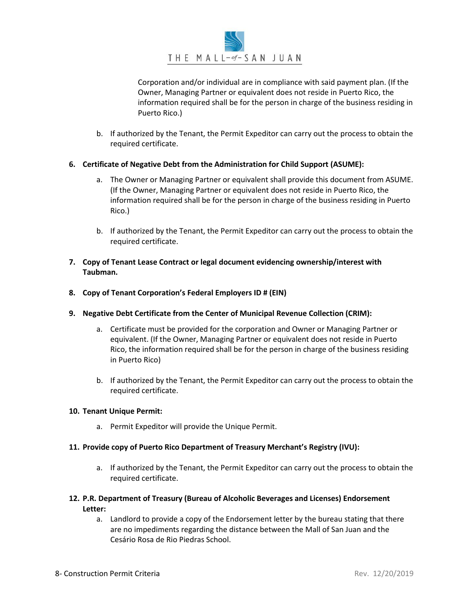

Corporation and/or individual are in compliance with said payment plan. (If the Owner, Managing Partner or equivalent does not reside in Puerto Rico, the information required shall be for the person in charge of the business residing in Puerto Rico.)

b. If authorized by the Tenant, the Permit Expeditor can carry out the process to obtain the required certificate.

## **6. Certificate of Negative Debt from the Administration for Child Support (ASUME):**

- a. The Owner or Managing Partner or equivalent shall provide this document from ASUME. (If the Owner, Managing Partner or equivalent does not reside in Puerto Rico, the information required shall be for the person in charge of the business residing in Puerto Rico.)
- b. If authorized by the Tenant, the Permit Expeditor can carry out the process to obtain the required certificate.
- **7. Copy of Tenant Lease Contract or legal document evidencing ownership/interest with Taubman.**
- **8. Copy of Tenant Corporation's Federal Employers ID # (EIN)**
- **9. Negative Debt Certificate from the Center of Municipal Revenue Collection (CRIM):** 
	- a. Certificate must be provided for the corporation and Owner or Managing Partner or equivalent. (If the Owner, Managing Partner or equivalent does not reside in Puerto Rico, the information required shall be for the person in charge of the business residing in Puerto Rico)
	- b. If authorized by the Tenant, the Permit Expeditor can carry out the process to obtain the required certificate.

### **10. Tenant Unique Permit:**

a. Permit Expeditor will provide the Unique Permit.

### **11. Provide copy of Puerto Rico Department of Treasury Merchant's Registry (IVU):**

- a. If authorized by the Tenant, the Permit Expeditor can carry out the process to obtain the required certificate.
- **12. P.R. Department of Treasury (Bureau of Alcoholic Beverages and Licenses) Endorsement Letter:** 
	- a. Landlord to provide a copy of the Endorsement letter by the bureau stating that there are no impediments regarding the distance between the Mall of San Juan and the Cesário Rosa de Rio Piedras School.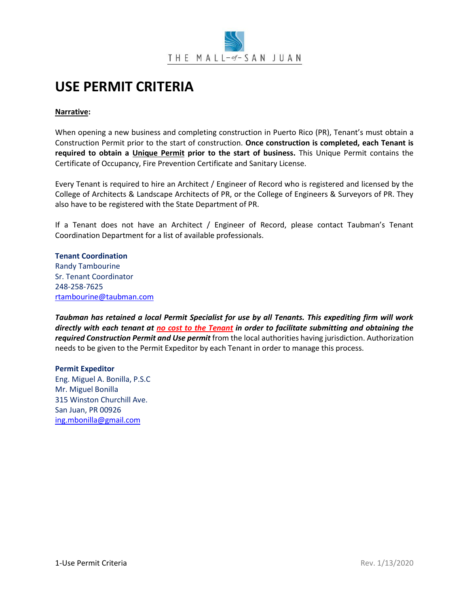

# **USE PERMIT CRITERIA**

# **Narrative:**

When opening a new business and completing construction in Puerto Rico (PR), Tenant's must obtain a Construction Permit prior to the start of construction. **Once construction is completed, each Tenant is required to obtain a Unique Permit prior to the start of business.** This Unique Permit contains the Certificate of Occupancy, Fire Prevention Certificate and Sanitary License.

Every Tenant is required to hire an Architect / Engineer of Record who is registered and licensed by the College of Architects & Landscape Architects of PR, or the College of Engineers & Surveyors of PR. They also have to be registered with the State Department of PR.

If a Tenant does not have an Architect / Engineer of Record, please contact Taubman's Tenant Coordination Department for a list of available professionals.

**Tenant Coordination** Randy Tambourine Sr. Tenant Coordinator 248-258-7625 [rtambourine@taubman.com](mailto:rtambourine@taubman.com)

*Taubman has retained a local Permit Specialist for use by all Tenants. This expediting firm will work directly with each tenant at no cost to the Tenant in order to facilitate submitting and obtaining the required Construction Permit and Use permit* from the local authorities having jurisdiction. Authorization needs to be given to the Permit Expeditor by each Tenant in order to manage this process.

# **Permit Expeditor**

Eng. Miguel A. Bonilla, P.S.C Mr. Miguel Bonilla 315 Winston Churchill Ave. San Juan, PR 00926 [ing.mbonilla@gmail.com](mailto:ing.mbonilla@gmail.com)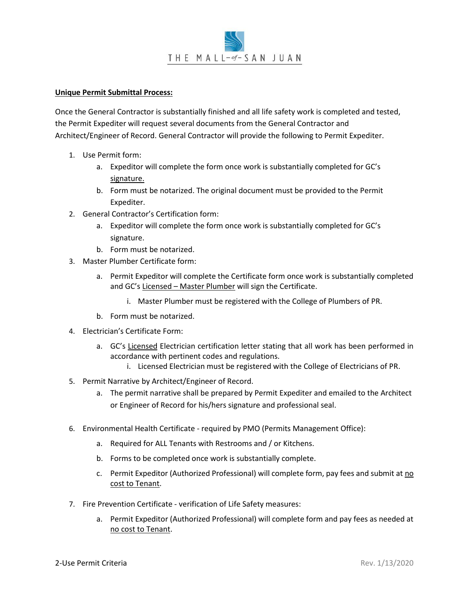

## **Unique Permit Submittal Process:**

Once the General Contractor is substantially finished and all life safety work is completed and tested, the Permit Expediter will request several documents from the General Contractor and Architect/Engineer of Record. General Contractor will provide the following to Permit Expediter.

- 1. Use Permit form:
	- a. Expeditor will complete the form once work is substantially completed for GC's signature.
	- b. Form must be notarized. The original document must be provided to the Permit Expediter.
- 2. General Contractor's Certification form:
	- a. Expeditor will complete the form once work is substantially completed for GC's signature.
	- b. Form must be notarized.
- 3. Master Plumber Certificate form:
	- a. Permit Expeditor will complete the Certificate form once work is substantially completed and GC's Licensed – Master Plumber will sign the Certificate.
		- i. Master Plumber must be registered with the College of Plumbers of PR.
	- b. Form must be notarized.
- 4. Electrician's Certificate Form:
	- a. GC's Licensed Electrician certification letter stating that all work has been performed in accordance with pertinent codes and regulations.
		- i. Licensed Electrician must be registered with the College of Electricians of PR.
- 5. Permit Narrative by Architect/Engineer of Record.
	- a. The permit narrative shall be prepared by Permit Expediter and emailed to the Architect or Engineer of Record for his/hers signature and professional seal.
- 6. Environmental Health Certificate required by PMO (Permits Management Office):
	- a. Required for ALL Tenants with Restrooms and / or Kitchens.
	- b. Forms to be completed once work is substantially complete.
	- c. Permit Expeditor (Authorized Professional) will complete form, pay fees and submit at no cost to Tenant.
- 7. Fire Prevention Certificate verification of Life Safety measures:
	- a. Permit Expeditor (Authorized Professional) will complete form and pay fees as needed at no cost to Tenant.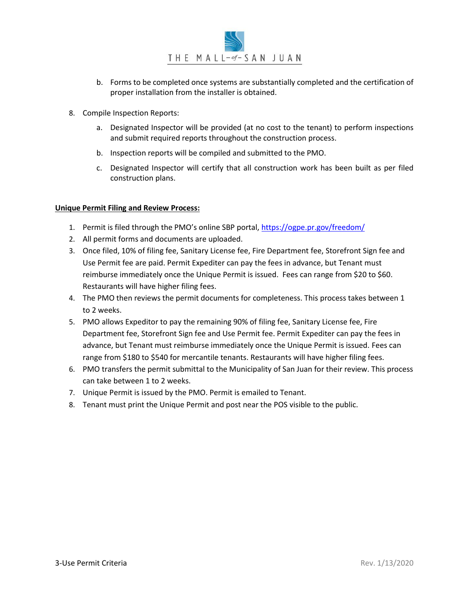- b. Forms to be completed once systems are substantially completed and the certification of proper installation from the installer is obtained.
- 8. Compile Inspection Reports:
	- a. Designated Inspector will be provided (at no cost to the tenant) to perform inspections and submit required reports throughout the construction process.
	- b. Inspection reports will be compiled and submitted to the PMO.
	- c. Designated Inspector will certify that all construction work has been built as per filed construction plans.

### **Unique Permit Filing and Review Process:**

- 1. Permit is filed through the PMO's online SBP portal, https://ogpe.pr.gov/freedom/
- 2. All permit forms and documents are uploaded.
- 3. Once filed, 10% of filing fee, Sanitary License fee, Fire Department fee, Storefront Sign fee and Use Permit fee are paid. Permit Expediter can pay the fees in advance, but Tenant must reimburse immediately once the Unique Permit is issued. Fees can range from \$20 to \$60. Restaurants will have higher filing fees.
- 4. The PMO then reviews the permit documents for completeness. This process takes between 1 to 2 weeks.
- 5. PMO allows Expeditor to pay the remaining 90% of filing fee, Sanitary License fee, Fire Department fee, Storefront Sign fee and Use Permit fee. Permit Expediter can pay the fees in advance, but Tenant must reimburse immediately once the Unique Permit is issued. Fees can range from \$180 to \$540 for mercantile tenants. Restaurants will have higher filing fees.
- 6. PMO transfers the permit submittal to the Municipality of San Juan for their review. This process can take between 1 to 2 weeks.
- 7. Unique Permit is issued by the PMO. Permit is emailed to Tenant.
- 8. Tenant must print the Unique Permit and post near the POS visible to the public.